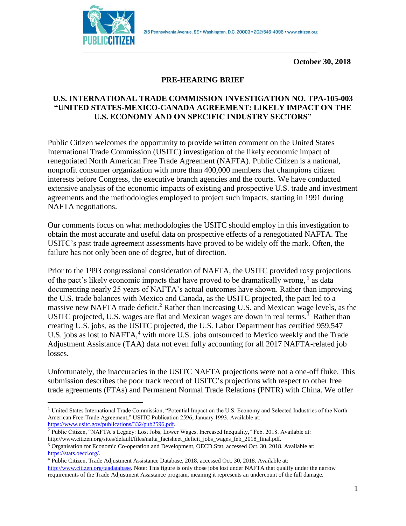

**October 30, 2018**

# **PRE-HEARING BRIEF**

# **U.S. INTERNATIONAL TRADE COMMISSION INVESTIGATION NO. TPA**‐**105**‐**003 "UNITED STATES-MEXICO-CANADA AGREEMENT: LIKELY IMPACT ON THE U.S. ECONOMY AND ON SPECIFIC INDUSTRY SECTORS"**

Public Citizen welcomes the opportunity to provide written comment on the United States International Trade Commission (USITC) investigation of the likely economic impact of renegotiated North American Free Trade Agreement (NAFTA). Public Citizen is a national, nonprofit consumer organization with more than 400,000 members that champions citizen interests before Congress, the executive branch agencies and the courts. We have conducted extensive analysis of the economic impacts of existing and prospective U.S. trade and investment agreements and the methodologies employed to project such impacts, starting in 1991 during NAFTA negotiations.

Our comments focus on what methodologies the USITC should employ in this investigation to obtain the most accurate and useful data on prospective effects of a renegotiated NAFTA. The USITC's past trade agreement assessments have proved to be widely off the mark. Often, the failure has not only been one of degree, but of direction.

Prior to the 1993 congressional consideration of NAFTA, the USITC provided rosy projections of the pact's likely economic impacts that have proved to be dramatically wrong,  $\frac{1}{1}$  as data documenting nearly 25 years of NAFTA's actual outcomes have shown. Rather than improving the U.S. trade balances with Mexico and Canada, as the USITC projected, the pact led to a massive new NAFTA trade deficit.<sup>2</sup> Rather than increasing U.S. and Mexican wage levels, as the USITC projected, U.S. wages are flat and Mexican wages are down in real terms.<sup>3</sup> Rather than creating U.S. jobs, as the USITC projected, the U.S. Labor Department has certified 959,547 U.S. jobs as lost to NAFTA,<sup>4</sup> with more U.S. jobs outsourced to Mexico weekly and the Trade Adjustment Assistance (TAA) data not even fully accounting for all 2017 NAFTA-related job losses.

Unfortunately, the inaccuracies in the USITC NAFTA projections were not a one-off fluke. This submission describes the poor track record of USITC's projections with respect to other free trade agreements (FTAs) and Permanent Normal Trade Relations (PNTR) with China. We offer

<sup>&</sup>lt;sup>1</sup> United States International Trade Commission, "Potential Impact on the U.S. Economy and Selected Industries of the North American Free-Trade Agreement," USITC Publication 2596, January 1993. Available at: [https://www.usitc.gov/publications/332/pub2596.pdf.](https://www.usitc.gov/publications/332/pub2596.pdf)

<sup>&</sup>lt;sup>2</sup> Public Citizen, "NAFTA's Legacy: Lost Jobs, Lower Wages, Increased Inequality," Feb. 2018. Available at:

http://www.citizen.org/sites/default/files/nafta\_factsheet\_deficit\_jobs\_wages\_feb\_2018\_final.pdf.

<sup>&</sup>lt;sup>3</sup> Organisation for Economic Co-operation and Development, OECD.Stat, accessed Oct. 30, 2018. Available at: [https://stats.oecd.org/.](https://stats.oecd.org/)

<sup>4</sup> Public Citizen, Trade Adjustment Assistance Database, 2018, accessed Oct. 30, 2018. Available at: [http://www.citizen.org/taadatabase.](http://www.citizen.org/taadatabase) Note: This figure is only those jobs lost under NAFTA that qualify under the narrow requirements of the Trade Adjustment Assistance program, meaning it represents an undercount of the full damage.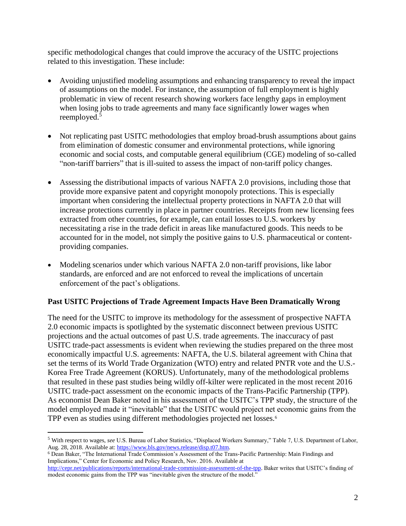specific methodological changes that could improve the accuracy of the USITC projections related to this investigation. These include:

- Avoiding unjustified modeling assumptions and enhancing transparency to reveal the impact of assumptions on the model. For instance, the assumption of full employment is highly problematic in view of recent research showing workers face lengthy gaps in employment when losing jobs to trade agreements and many face significantly lower wages when reemployed.<sup>5</sup>
- Not replicating past USITC methodologies that employ broad-brush assumptions about gains from elimination of domestic consumer and environmental protections, while ignoring economic and social costs, and computable general equilibrium (CGE) modeling of so-called "non-tariff barriers" that is ill-suited to assess the impact of non-tariff policy changes.
- Assessing the distributional impacts of various NAFTA 2.0 provisions, including those that provide more expansive patent and copyright monopoly protections. This is especially important when considering the intellectual property protections in NAFTA 2.0 that will increase protections currently in place in partner countries. Receipts from new licensing fees extracted from other countries, for example, can entail losses to U.S. workers by necessitating a rise in the trade deficit in areas like manufactured goods. This needs to be accounted for in the model, not simply the positive gains to U.S. pharmaceutical or contentproviding companies.
- Modeling scenarios under which various NAFTA 2.0 non-tariff provisions, like labor standards, are enforced and are not enforced to reveal the implications of uncertain enforcement of the pact's obligations.

### **Past USITC Projections of Trade Agreement Impacts Have Been Dramatically Wrong**

The need for the USITC to improve its methodology for the assessment of prospective NAFTA 2.0 economic impacts is spotlighted by the systematic disconnect between previous USITC projections and the actual outcomes of past U.S. trade agreements. The inaccuracy of past USITC trade-pact assessments is evident when reviewing the studies prepared on the three most economically impactful U.S. agreements: NAFTA, the U.S. bilateral agreement with China that set the terms of its World Trade Organization (WTO) entry and related PNTR vote and the U.S.- Korea Free Trade Agreement (KORUS). Unfortunately, many of the methodological problems that resulted in these past studies being wildly off-kilter were replicated in the most recent 2016 USITC trade-pact assessment on the economic impacts of the Trans-Pacific Partnership (TPP). As economist Dean Baker noted in his assessment of the USITC's TPP study, the structure of the model employed made it "inevitable" that the USITC would project net economic gains from the TPP even as studies using different methodologies projected net losses.<sup>6</sup>

<sup>5</sup> With respect to wages, *see* U.S. Bureau of Labor Statistics, "Displaced Workers Summary," Table 7, U.S. Department of Labor, Aug. 28, 2018. Available at: https://www.bls.gov/news.release/disp.t07.htm.

<sup>6</sup> Dean Baker, "The International Trade Commission's Assessment of the Trans-Pacific Partnership: Main Findings and Implications," Center for Economic and Policy Research, Nov. 2016. Available at

[http://cepr.net/publications/reports/international-trade-commission-assessment-of-the-tpp.](http://cepr.net/publications/reports/international-trade-commission-assessment-of-the-tpp) Baker writes that USITC's finding of modest economic gains from the TPP was "inevitable given the structure of the model."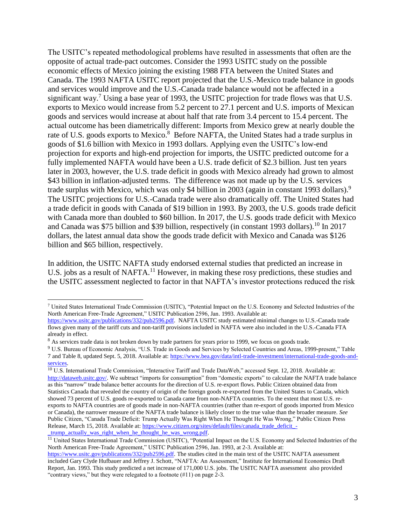The USITC's repeated methodological problems have resulted in assessments that often are the opposite of actual trade-pact outcomes. Consider the 1993 USITC study on the possible economic effects of Mexico joining the existing 1988 FTA between the United States and Canada. The 1993 NAFTA USITC report projected that the U.S.-Mexico trade balance in goods and services would improve and the U.S.-Canada trade balance would not be affected in a significant way.<sup>7</sup> Using a base year of 1993, the USITC projection for trade flows was that U.S. exports to Mexico would increase from 5.2 percent to 27.1 percent and U.S. imports of Mexican goods and services would increase at about half that rate from 3.4 percent to 15.4 percent. The actual outcome has been diametrically different: Imports from Mexico grew at nearly double the rate of U.S. goods exports to Mexico.<sup>8</sup> Before NAFTA, the United States had a trade surplus in goods of \$1.6 billion with Mexico in 1993 dollars. Applying even the USITC's low-end projection for exports and high-end projection for imports, the USITC predicted outcome for a fully implemented NAFTA would have been a U.S. trade deficit of \$2.3 billion. Just ten years later in 2003, however, the U.S. trade deficit in goods with Mexico already had grown to almost \$43 billion in inflation-adjusted terms. The difference was not made up by the U.S. services trade surplus with Mexico, which was only \$4 billion in 2003 (again in constant 1993 dollars).<sup>9</sup> The USITC projections for U.S.-Canada trade were also dramatically off. The United States had a trade deficit in goods with Canada of \$19 billion in 1993. By 2003, the U.S. goods trade deficit with Canada more than doubled to \$60 billion. In 2017, the U.S. goods trade deficit with Mexico and Canada was \$75 billion and \$39 billion, respectively (in constant 1993 dollars).<sup>10</sup> In 2017 dollars, the latest annual data show the goods trade deficit with Mexico and Canada was \$126 billion and \$65 billion, respectively.

In addition, the USITC NAFTA study endorsed external studies that predicted an increase in U.S. jobs as a result of NAFTA.<sup>11</sup> However, in making these rosy predictions, these studies and the USITC assessment neglected to factor in that NAFTA's investor protections reduced the risk

<sup>7</sup> United States International Trade Commission (USITC), "Potential Impact on the U.S. Economy and Selected Industries of the North American Free-Trade Agreement," USITC Publication 2596, Jan. 1993. Available at:

[https://www.usitc.gov/publications/332/pub2596.pdf.](https://www.usitc.gov/publications/332/pub2596.pdf) NAFTA USITC study estimated minimal changes to U.S.-Canada trade flows given many of the tariff cuts and non-tariff provisions included in NAFTA were also included in the U.S.-Canada FTA already in effect.

<sup>&</sup>lt;sup>8</sup> As services trade data is not broken down by trade partners for years prior to 1999, we focus on goods trade.

<sup>9</sup> U.S. Bureau of Economic Analysis, "U.S. Trade in Goods and Services by Selected Countries and Areas, 1999-present," Table 7 and Table 8, updated Sept. 5, 2018. Available at: [https://www.bea.gov/data/intl-trade-investment/international-trade-goods-and](https://www.bea.gov/data/intl-trade-investment/international-trade-goods-and-services)[services.](https://www.bea.gov/data/intl-trade-investment/international-trade-goods-and-services)

 $10$  U.S. International Trade Commission, "Interactive Tariff and Trade DataWeb," accessed Sept. 12, 2018. Available at: [http://dataweb.usitc.gov/.](http://dataweb.usitc.gov/) We subtract "imports for consumption" from "domestic exports" to calculate the NAFTA trade balance as this "narrow" trade balance better accounts for the direction of U.S. re-export flows. Public Citizen obtained data from Statistics Canada that revealed the country of origin of the foreign goods re-exported from the United States to Canada, which showed 73 percent of U.S. goods re-exported to Canada came from non-NAFTA countries. To the extent that most U.S. reexports to NAFTA countries are of goods made in non-NAFTA countries (rather than re-export of goods imported from Mexico or Canada), the narrower measure of the NAFTA trade balance is likely closer to the true value than the broader measure. *See* Public Citizen, "Canada Trade Deficit: Trump Actually Was Right When He Thought He Was Wrong," Public Citizen Press Release, March 15, 2018. Available at[: https://www.citizen.org/sites/default/files/canada\\_trade\\_deficit\\_](https://www.citizen.org/sites/default/files/canada_trade_deficit_-_trump_actually_was_right_when_he_thought_he_was_wrong.pdf) trump\_actually\_was\_right\_when\_he\_thought\_he\_was\_wrong.pdf.

<sup>&</sup>lt;sup>11</sup> United States International Trade Commission (USITC), "Potential Impact on the U.S. Economy and Selected Industries of the North American Free-Trade Agreement," USITC Publication 2596, Jan. 1993, at 2-3. Available at:

[https://www.usitc.gov/publications/332/pub2596.pdf.](https://www.usitc.gov/publications/332/pub2596.pdf) The studies cited in the main text of the USITC NAFTA assessment included Gary Clyde Hufbauer and Jeffrey J. Schott, "NAFTA: An Assessment," Institute for International Economics Draft Report, Jan. 1993. This study predicted a net increase of 171,000 U.S. jobs. The USITC NAFTA assessment also provided "contrary views," but they were relegated to a footnote (#11) on page 2-3.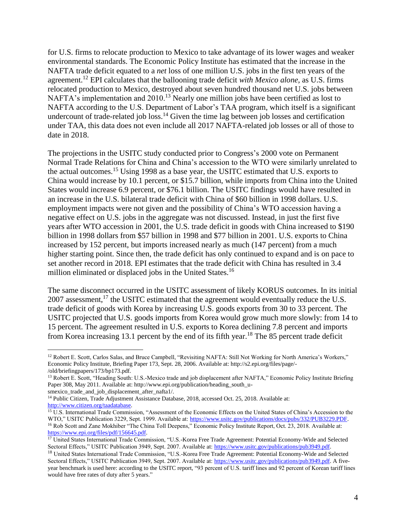for U.S. firms to relocate production to Mexico to take advantage of its lower wages and weaker environmental standards. The Economic Policy Institute has estimated that the increase in the NAFTA trade deficit equated to a *net* loss of one million U.S. jobs in the first ten years of the agreement.<sup>12</sup> EPI calculates that the ballooning trade deficit *with Mexico alone*, as U.S. firms relocated production to Mexico, destroyed about seven hundred thousand net U.S. jobs between NAFTA's implementation and 2010.<sup>13</sup> Nearly one million jobs have been certified as lost to NAFTA according to the U.S. Department of Labor's TAA program, which itself is a significant undercount of trade-related job loss.<sup>14</sup> Given the time lag between job losses and certification under TAA, this data does not even include all 2017 NAFTA-related job losses or all of those to date in 2018.

The projections in the USITC study conducted prior to Congress's 2000 vote on Permanent Normal Trade Relations for China and China's accession to the WTO were similarly unrelated to the actual outcomes.<sup>15</sup> Using 1998 as a base year, the USITC estimated that U.S. exports to China would increase by 10.1 percent, or \$15.7 billion, while imports from China into the United States would increase 6.9 percent, or \$76.1 billion. The USITC findings would have resulted in an increase in the U.S. bilateral trade deficit with China of \$60 billion in 1998 dollars. U.S. employment impacts were not given and the possibility of China's WTO accession having a negative effect on U.S. jobs in the aggregate was not discussed. Instead, in just the first five years after WTO accession in 2001, the U.S. trade deficit in goods with China increased to \$190 billion in 1998 dollars from \$57 billion in 1998 and \$77 billion in 2001. U.S. exports to China increased by 152 percent, but imports increased nearly as much (147 percent) from a much higher starting point. Since then, the trade deficit has only continued to expand and is on pace to set another record in 2018. EPI estimates that the trade deficit with China has resulted in 3.4 million eliminated or displaced jobs in the United States.<sup>16</sup>

The same disconnect occurred in the USITC assessment of likely KORUS outcomes. In its initial  $2007$  assessment,<sup>17</sup> the USITC estimated that the agreement would eventually reduce the U.S. trade deficit of goods with Korea by increasing U.S. goods exports from 30 to 33 percent. The USITC projected that U.S. goods imports from Korea would grow much more slowly: from 14 to 15 percent. The agreement resulted in U.S. exports to Korea declining 7.8 percent and imports from Korea increasing 13.1 percent by the end of its fifth year.<sup>18</sup> The 85 percent trade deficit

<sup>&</sup>lt;sup>12</sup> Robert E. Scott, Carlos Salas, and Bruce Campbell, "Revisiting NAFTA: Still Not Working for North America's Workers," Economic Policy Institute, Briefing Paper 173, Sept. 28, 2006. Available at: http://s2.epi.org/files/page/- /old/briefingpapers/173/bp173.pdf.

<sup>13</sup> Robert E. Scott, "Heading South: U.S.-Mexico trade and job displacement after NAFTA," Economic Policy Institute Briefing Paper 308, May 2011. Available at: http://www.epi.org/publication/heading\_south\_u-

smexico\_trade\_and\_job\_displacement\_after\_nafta1/.

<sup>&</sup>lt;sup>14</sup> Public Citizen, Trade Adjustment Assistance Database, 2018, accessed Oct. 25, 2018. Available at: [http://www.citizen.org/taadatabase.](http://www.citizen.org/taadatabase)

<sup>&</sup>lt;sup>15</sup> U.S. International Trade Commission, "Assessment of the Economic Effects on the United States of China's Accession to the WTO," USITC Publication 3229, Sept. 1999. Available at: [https://www.usitc.gov/publications/docs/pubs/332/PUB3229.PDF.](https://www.usitc.gov/publications/docs/pubs/332/PUB3229.PDF) <sup>16</sup> Rob Scott and Zane Mokhiber "The China Toll Deepens," Economic Policy Institute Report, Oct. 23, 2018. Available at: [https://www.epi.org/files/pdf/156645.pdf.](https://www.epi.org/files/pdf/156645.pdf)

<sup>&</sup>lt;sup>17</sup> United States International Trade Commission, "U.S.-Korea Free Trade Agreement: Potential Economy-Wide and Selected Sectoral Effects," USITC Publication 3949, Sept. 2007. Available at: [https://www.usitc.gov/publications/pub3949.pdf.](https://www.usitc.gov/publications/pub3949.pdf) 

<sup>&</sup>lt;sup>18</sup> United States International Trade Commission, "U.S.-Korea Free Trade Agreement: Potential Economy-Wide and Selected Sectoral Effects," USITC Publication 3949, Sept. 2007. Available at: [https://www.usitc.gov/publications/pub3949.pdf.](https://www.usitc.gov/publications/pub3949.pdf) A fiveyear benchmark is used here: according to the USITC report, "93 percent of U.S. tariff lines and 92 percent of Korean tariff lines would have free rates of duty after 5 years."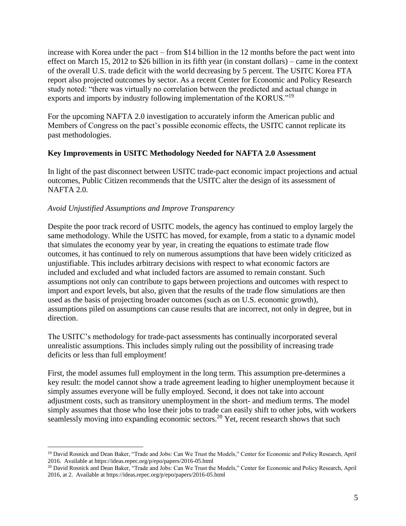increase with Korea under the pact – from \$14 billion in the 12 months before the pact went into effect on March 15, 2012 to \$26 billion in its fifth year (in constant dollars) – came in the context of the overall U.S. trade deficit with the world decreasing by 5 percent. The USITC Korea FTA report also projected outcomes by sector. As a recent Center for Economic and Policy Research study noted: "there was virtually no correlation between the predicted and actual change in exports and imports by industry following implementation of the KORUS."<sup>19</sup>

For the upcoming NAFTA 2.0 investigation to accurately inform the American public and Members of Congress on the pact's possible economic effects, the USITC cannot replicate its past methodologies.

### **Key Improvements in USITC Methodology Needed for NAFTA 2.0 Assessment**

In light of the past disconnect between USITC trade-pact economic impact projections and actual outcomes, Public Citizen recommends that the USITC alter the design of its assessment of NAFTA 2.0.

### *Avoid Unjustified Assumptions and Improve Transparency*

 $\overline{a}$ 

Despite the poor track record of USITC models, the agency has continued to employ largely the same methodology. While the USITC has moved, for example, from a static to a dynamic model that simulates the economy year by year, in creating the equations to estimate trade flow outcomes, it has continued to rely on numerous assumptions that have been widely criticized as unjustifiable. This includes arbitrary decisions with respect to what economic factors are included and excluded and what included factors are assumed to remain constant. Such assumptions not only can contribute to gaps between projections and outcomes with respect to import and export levels, but also, given that the results of the trade flow simulations are then used as the basis of projecting broader outcomes (such as on U.S. economic growth), assumptions piled on assumptions can cause results that are incorrect, not only in degree, but in direction.

The USITC's methodology for trade-pact assessments has continually incorporated several unrealistic assumptions. This includes simply ruling out the possibility of increasing trade deficits or less than full employment!

First, the model assumes full employment in the long term. This assumption pre-determines a key result: the model cannot show a trade agreement leading to higher unemployment because it simply assumes everyone will be fully employed. Second, it does not take into account adjustment costs, such as transitory unemployment in the short- and medium terms. The model simply assumes that those who lose their jobs to trade can easily shift to other jobs, with workers seamlessly moving into expanding economic sectors.<sup>20</sup> Yet, recent research shows that such

<sup>&</sup>lt;sup>19</sup> David Rosnick and Dean Baker, "Trade and Jobs: Can We Trust the Models," Center for Economic and Policy Research, April 2016. Available at https://ideas.repec.org/p/epo/papers/2016-05.html

<sup>&</sup>lt;sup>20</sup> David Rosnick and Dean Baker, "Trade and Jobs: Can We Trust the Models," Center for Economic and Policy Research, April 2016, at 2. Available at https://ideas.repec.org/p/epo/papers/2016-05.html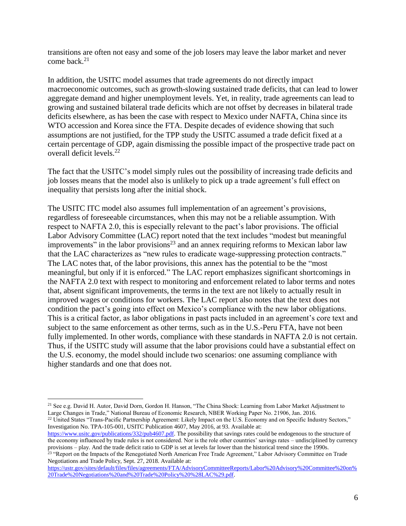transitions are often not easy and some of the job losers may leave the labor market and never come back. $21$ 

In addition, the USITC model assumes that trade agreements do not directly impact macroeconomic outcomes, such as growth-slowing sustained trade deficits, that can lead to lower aggregate demand and higher unemployment levels. Yet, in reality, trade agreements can lead to growing and sustained bilateral trade deficits which are not offset by decreases in bilateral trade deficits elsewhere, as has been the case with respect to Mexico under NAFTA, China since its WTO accession and Korea since the FTA. Despite decades of evidence showing that such assumptions are not justified, for the TPP study the USITC assumed a trade deficit fixed at a certain percentage of GDP, again dismissing the possible impact of the prospective trade pact on overall deficit levels.<sup>22</sup>

The fact that the USITC's model simply rules out the possibility of increasing trade deficits and job losses means that the model also is unlikely to pick up a trade agreement's full effect on inequality that persists long after the initial shock.

The USITC ITC model also assumes full implementation of an agreement's provisions, regardless of foreseeable circumstances, when this may not be a reliable assumption. With respect to NAFTA 2.0, this is especially relevant to the pact's labor provisions. The official Labor Advisory Committee (LAC) report noted that the text includes "modest but meaningful improvements" in the labor provisions<sup>23</sup> and an annex requiring reforms to Mexican labor law that the LAC characterizes as "new rules to eradicate wage-suppressing protection contracts." The LAC notes that, of the labor provisions, this annex has the potential to be the "most meaningful, but only if it is enforced." The LAC report emphasizes significant shortcomings in the NAFTA 2.0 text with respect to monitoring and enforcement related to labor terms and notes that, absent significant improvements, the terms in the text are not likely to actually result in improved wages or conditions for workers. The LAC report also notes that the text does not condition the pact's going into effect on Mexico's compliance with the new labor obligations. This is a critical factor, as labor obligations in past pacts included in an agreement's core text and subject to the same enforcement as other terms, such as in the U.S.-Peru FTA, have not been fully implemented. In other words, compliance with these standards in NAFTA 2.0 is not certain. Thus, if the USITC study will assume that the labor provisions could have a substantial effect on the U.S. economy, the model should include two scenarios: one assuming compliance with higher standards and one that does not.

<sup>22</sup> United States "Trans-Pacific Partnership Agreement: Likely Impact on the U.S. Economy and on Specific Industry Sectors," Investigation No. TPA-105-001, USITC Publication 4607, May 2016, at 93. Available at:

 $\overline{a}$ <sup>21</sup> See e.g. David H. Autor, David Dorn, Gordon H. Hanson, "The China Shock: Learning from Labor Market Adjustment to Large Changes in Trade," National Bureau of Economic Research, NBER Working Paper No. 21906, Jan. 2016.

[https://www.usitc.gov/publications/332/pub4607.pdf.](https://www.usitc.gov/publications/332/pub4607.pdf) The possibility that savings rates could be endogenous to the structure of the economy influenced by trade rules is not considered. Nor is the role other countries' savings rates – undisciplined by currency provisions – play. And the trade deficit ratio to GDP is set at levels far lower than the historical trend since the 1990s.

<sup>&</sup>lt;sup>23</sup> "Report on the Impacts of the Renegotiated North American Free Trade Agreement," Labor Advisory Committee on Trade Negotiations and Trade Policy, Sept. 27, 2018. Available at:

[https://ustr.gov/sites/default/files/files/agreements/FTA/AdvisoryCommitteeReports/Labor%20Advisory%20Committee%20on%](https://ustr.gov/sites/default/files/files/agreements/FTA/AdvisoryCommitteeReports/Labor%20Advisory%20Committee%20on%20Trade%20Negotiations%20and%20Trade%20Policy%20%28LAC%29.pdf) [20Trade%20Negotiations%20and%20Trade%20Policy%20%28LAC%29.pdf.](https://ustr.gov/sites/default/files/files/agreements/FTA/AdvisoryCommitteeReports/Labor%20Advisory%20Committee%20on%20Trade%20Negotiations%20and%20Trade%20Policy%20%28LAC%29.pdf)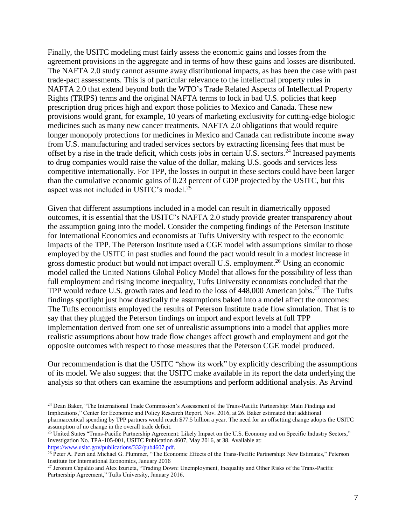Finally, the USITC modeling must fairly assess the economic gains and losses from the agreement provisions in the aggregate and in terms of how these gains and losses are distributed. The NAFTA 2.0 study cannot assume away distributional impacts, as has been the case with past trade-pact assessments. This is of particular relevance to the intellectual property rules in NAFTA 2.0 that extend beyond both the WTO's Trade Related Aspects of Intellectual Property Rights (TRIPS) terms and the original NAFTA terms to lock in bad U.S. policies that keep prescription drug prices high and export those policies to Mexico and Canada. These new provisions would grant, for example, 10 years of marketing exclusivity for cutting-edge biologic medicines such as many new cancer treatments. NAFTA 2.0 obligations that would require longer monopoly protections for medicines in Mexico and Canada can redistribute income away from U.S. manufacturing and traded services sectors by extracting licensing fees that must be offset by a rise in the trade deficit, which costs jobs in certain U.S. sectors.<sup>24</sup> Increased payments to drug companies would raise the value of the dollar, making U.S. goods and services less competitive internationally. For TPP, the losses in output in these sectors could have been larger than the cumulative economic gains of 0.23 percent of GDP projected by the USITC, but this aspect was not included in USITC's model.<sup>25</sup>

Given that different assumptions included in a model can result in diametrically opposed outcomes, it is essential that the USITC's NAFTA 2.0 study provide greater transparency about the assumption going into the model. Consider the competing findings of the Peterson Institute for International Economics and economists at Tufts University with respect to the economic impacts of the TPP. The Peterson Institute used a CGE model with assumptions similar to those employed by the USITC in past studies and found the pact would result in a modest increase in gross domestic product but would not impact overall U.S. employment.<sup>26</sup> Using an economic model called the United Nations Global Policy Model that allows for the possibility of less than full employment and rising income inequality, Tufts University economists concluded that the TPP would reduce U.S. growth rates and lead to the loss of 448,000 American jobs.<sup>27</sup> The Tufts findings spotlight just how drastically the assumptions baked into a model affect the outcomes: The Tufts economists employed the results of Peterson Institute trade flow simulation. That is to say that they plugged the Peterson findings on import and export levels at full TPP implementation derived from one set of unrealistic assumptions into a model that applies more realistic assumptions about how trade flow changes affect growth and employment and got the opposite outcomes with respect to those measures that the Peterson CGE model produced.

Our recommendation is that the USITC "show its work" by explicitly describing the assumptions of its model. We also suggest that the USITC make available in its report the data underlying the analysis so that others can examine the assumptions and perform additional analysis. As Arvind

<sup>&</sup>lt;sup>24</sup> Dean Baker, "The International Trade Commission's Assessment of the Trans-Pacific Partnership: Main Findings and Implications," Center for Economic and Policy Research Report, Nov. 2016, at 26. Baker estimated that additional pharmaceutical spending by TPP partners would reach \$77.5 billion a year. The need for an offsetting change adopts the USITC assumption of no change in the overall trade deficit.

<sup>&</sup>lt;sup>25</sup> United States "Trans-Pacific Partnership Agreement: Likely Impact on the U.S. Economy and on Specific Industry Sectors," Investigation No. TPA-105-001, USITC Publication 4607, May 2016, at 38. Available at: [https://www.usitc.gov/publications/332/pub4607.pdf.](https://www.usitc.gov/publications/332/pub4607.pdf)

<sup>&</sup>lt;sup>26</sup> Peter A. Petri and Michael G. Plummer, "The Economic Effects of the Trans-Pacific Partnership: New Estimates," Peterson Institute for International Economics, January 2016

<sup>27</sup> Jeronim Capaldo and Alex Izurieta, "Trading Down: Unemployment, Inequality and Other Risks of the Trans-Pacific Partnership Agreement," Tufts University, January 2016.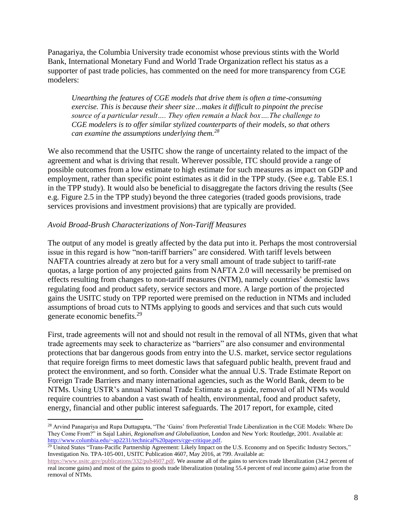Panagariya, the Columbia University trade economist whose previous stints with the [World](https://en.wikipedia.org/wiki/World_Bank)  [Bank,](https://en.wikipedia.org/wiki/World_Bank) [International Monetary Fund](https://en.wikipedia.org/wiki/International_Monetary_Fund) and [World Trade Organization](https://en.wikipedia.org/wiki/World_Trade_Organization) reflect his status as a supporter of past trade policies, has commented on the need for more transparency from CGE modelers:

*Unearthing the features of CGE models that drive them is often a time-consuming exercise. This is because their sheer size…makes it difficult to pinpoint the precise source of a particular result…. They often remain a black box….The challenge to CGE modelers is to offer similar stylized counterparts of their models, so that others can examine the assumptions underlying them.<sup>28</sup>*

We also recommend that the USITC show the range of uncertainty related to the impact of the agreement and what is driving that result. Wherever possible, ITC should provide a range of possible outcomes from a low estimate to high estimate for such measures as impact on GDP and employment, rather than specific point estimates as it did in the TPP study. (See e.g. Table ES.1 in the TPP study). It would also be beneficial to disaggregate the factors driving the results (See e.g. Figure 2.5 in the TPP study) beyond the three categories (traded goods provisions, trade services provisions and investment provisions) that are typically are provided.

#### *Avoid Broad-Brush Characterizations of Non-Tariff Measures*

 $\overline{a}$ 

The output of any model is greatly affected by the data put into it. Perhaps the most controversial issue in this regard is how "non-tariff barriers" are considered. With tariff levels between NAFTA countries already at zero but for a very small amount of trade subject to tariff-rate quotas, a large portion of any projected gains from NAFTA 2.0 will necessarily be premised on effects resulting from changes to non-tariff measures (NTM), namely countries' domestic laws regulating food and product safety, service sectors and more. A large portion of the projected gains the USITC study on TPP reported were premised on the reduction in NTMs and included assumptions of broad cuts to NTMs applying to goods and services and that such cuts would generate economic benefits.<sup>29</sup>

First, trade agreements will not and should not result in the removal of all NTMs, given that what trade agreements may seek to characterize as "barriers" are also consumer and environmental protections that bar dangerous goods from entry into the U.S. market, service sector regulations that require foreign firms to meet domestic laws that safeguard public health, prevent fraud and protect the environment, and so forth. Consider what the annual U.S. Trade Estimate Report on Foreign Trade Barriers and many international agencies, such as the World Bank, deem to be NTMs. Using USTR's annual National Trade Estimate as a guide, removal of all NTMs would require countries to abandon a vast swath of health, environmental, food and product safety, energy, financial and other public interest safeguards. The 2017 report, for example, cited

<sup>28</sup> Arvind Panagariya and Rupa Duttagupta, "The 'Gains' from Preferential Trade Liberalization in the CGE Models: Where Do They Come From?" in Sajal Lahiri, *Regionalism and Globalization*, London and New York: Routledge, 2001. Available at: [http://www.columbia.edu/~ap2231/technical%20papers/cge-critique.pdf.](http://www.columbia.edu/~ap2231/technical%20papers/cge-critique.pdf)

<sup>&</sup>lt;sup>29</sup> United States "Trans-Pacific Partnership Agreement: Likely Impact on the U.S. Economy and on Specific Industry Sectors," Investigation No. TPA-105-001, USITC Publication 4607, May 2016, at 799. Available at:

[https://www.usitc.gov/publications/332/pub4607.pdf.](https://www.usitc.gov/publications/332/pub4607.pdf) We assume all of the gains to services trade liberalization (34.2 percent of real income gains) and most of the gains to goods trade liberalization (totaling 55.4 percent of real income gains) arise from the removal of NTMs.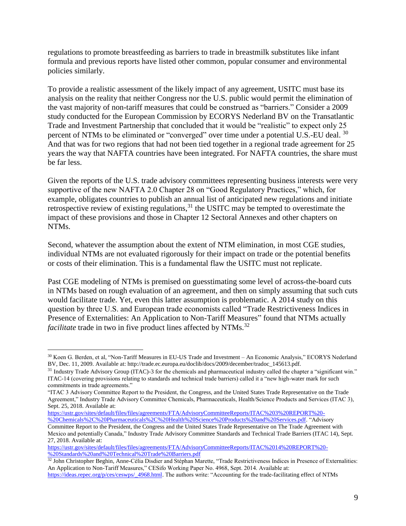regulations to promote breastfeeding as barriers to trade in breastmilk substitutes like infant formula and previous reports have listed other common, popular consumer and environmental policies similarly.

To provide a realistic assessment of the likely impact of any agreement, USITC must base its analysis on the reality that neither Congress nor the U.S. public would permit the elimination of the vast majority of non-tariff measures that could be construed as "barriers." Consider a 2009 study conducted for the European Commission by ECORYS Nederland BV on the Transatlantic Trade and Investment Partnership that concluded that it would be "realistic" to expect only 25 percent of NTMs to be eliminated or "converged" over time under a potential U.S.-EU deal. <sup>30</sup> And that was for two regions that had not been tied together in a regional trade agreement for 25 years the way that NAFTA countries have been integrated. For NAFTA countries, the share must be far less.

Given the reports of the U.S. trade advisory committees representing business interests were very supportive of the new NAFTA 2.0 Chapter 28 on "Good Regulatory Practices," which, for example, obligates countries to publish an annual list of anticipated new regulations and initiate retrospective review of existing regulations,  $31$  the USITC may be tempted to overestimate the impact of these provisions and those in Chapter 12 Sectoral Annexes and other chapters on NTMs.

Second, whatever the assumption about the extent of NTM elimination, in most CGE studies, individual NTMs are not evaluated rigorously for their impact on trade or the potential benefits or costs of their elimination. This is a fundamental flaw the USITC must not replicate.

Past CGE modeling of NTMs is premised on guesstimating some level of across-the-board cuts in NTMs based on rough evaluation of an agreement, and then on simply assuming that such cuts would facilitate trade. Yet, even this latter assumption is problematic. A 2014 study on this question by three U.S. and European trade economists called "Trade Restrictiveness Indices in Presence of Externalities: An Application to Non-Tariff Measures" found that NTMs actually *facilitate* trade in two in five product lines affected by NTMs.<sup>32</sup>

<sup>30</sup> Koen G. Berden, et al, "Non-Tariff Measures in EU-US Trade and Investment – An Economic Analysis," ECORYS Nederland BV, Dec. 11, 2009. Available at: http://trade.ec.europa.eu/doclib/docs/2009/december/tradoc\_145613.pdf.

 $31$  Industry Trade Advisory Group (ITAC)-3 for the chemicals and pharmaceutical industry called the chapter a "significant win." ITAC-14 (covering provisions relating to standards and technical trade barriers) called it a "new high-water mark for such commitments in trade agreements."

<sup>&</sup>quot;ITAC 3 Advisory Committee Report to the President, the Congress, and the United States Trade Representative on the Trade Agreement," Industry Trade Advisory Committee Chemicals, Pharmaceuticals, Health/Science Products and Services (ITAC 3), Sept. 25, 2018. Available at:

[https://ustr.gov/sites/default/files/files/agreements/FTA/AdvisoryCommitteeReports/ITAC%203%20REPORT%20-](https://ustr.gov/sites/default/files/files/agreements/FTA/AdvisoryCommitteeReports/ITAC%203%20REPORT%20-%20Chemicals%2C%20Pharmaceuticals%2C%20Health%20Science%20Products%20and%20Services.pdf) [%20Chemicals%2C%20Pharmaceuticals%2C%20Health%20Science%20Products%20and%20Services.pdf.](https://ustr.gov/sites/default/files/files/agreements/FTA/AdvisoryCommitteeReports/ITAC%203%20REPORT%20-%20Chemicals%2C%20Pharmaceuticals%2C%20Health%20Science%20Products%20and%20Services.pdf) "Advisory

Committee Report to the President, the Congress and the United States Trade Representative on The Trade Agreement with Mexico and potentially Canada," Industry Trade Advisory Committee Standards and Technical Trade Barriers (ITAC 14), Sept. 27, 2018. Available at:

[https://ustr.gov/sites/default/files/files/agreements/FTA/AdvisoryCommitteeReports/ITAC%2014%20REPORT%20-](https://ustr.gov/sites/default/files/files/agreements/FTA/AdvisoryCommitteeReports/ITAC%2014%20REPORT%20-%20Standards%20and%20Technical%20Trade%20Barriers.pdf) [%20Standards%20and%20Technical%20Trade%20Barriers.pdf](https://ustr.gov/sites/default/files/files/agreements/FTA/AdvisoryCommitteeReports/ITAC%2014%20REPORT%20-%20Standards%20and%20Technical%20Trade%20Barriers.pdf)

<sup>&</sup>lt;sup>32</sup> John Christopher Beghin, Anne-Célia Disdier and Stéphan Marette, "Trade Restrictiveness Indices in Presence of Externalities: An Application to Non-Tariff Measures," CESifo Working Paper No. 4968, Sept. 2014. Available at: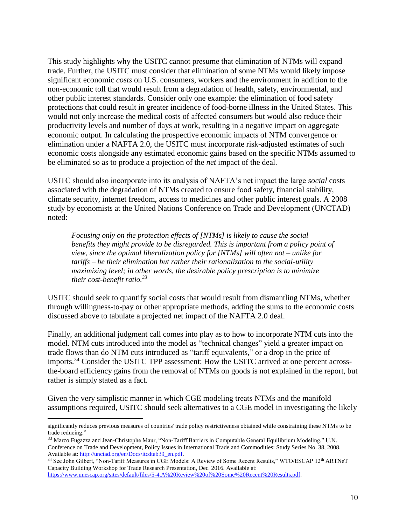This study highlights why the USITC cannot presume that elimination of NTMs will expand trade. Further, the USITC must consider that elimination of some NTMs would likely impose significant economic *costs* on U.S. consumers, workers and the environment in addition to the non-economic toll that would result from a degradation of health, safety, environmental, and other public interest standards. Consider only one example: the elimination of food safety protections that could result in greater incidence of food-borne illness in the United States. This would not only increase the medical costs of affected consumers but would also reduce their productivity levels and number of days at work, resulting in a negative impact on aggregate economic output. In calculating the prospective economic impacts of NTM convergence or elimination under a NAFTA 2.0, the USITC must incorporate risk-adjusted estimates of such economic costs alongside any estimated economic gains based on the specific NTMs assumed to be eliminated so as to produce a projection of the *net* impact of the deal.

USITC should also incorporate into its analysis of NAFTA's net impact the large *social* costs associated with the degradation of NTMs created to ensure food safety, financial stability, climate security, internet freedom, access to medicines and other public interest goals. A 2008 study by economists at the United Nations Conference on Trade and Development (UNCTAD) noted:

*Focusing only on the protection effects of [NTMs] is likely to cause the social benefits they might provide to be disregarded. This is important from a policy point of view, since the optimal liberalization policy for [NTMs] will often not – unlike for tariffs – be their elimination but rather their rationalization to the social-utility maximizing level; in other words, the desirable policy prescription is to minimize their cost-benefit ratio.<sup>33</sup>*

USITC should seek to quantify social costs that would result from dismantling NTMs, whether through willingness-to-pay or other appropriate methods, adding the sums to the economic costs discussed above to tabulate a projected net impact of the NAFTA 2.0 deal.

Finally, an additional judgment call comes into play as to how to incorporate NTM cuts into the model. NTM cuts introduced into the model as "technical changes" yield a greater impact on trade flows than do NTM cuts introduced as "tariff equivalents," or a drop in the price of imports.<sup>34</sup> Consider the USITC TPP assessment: How the USITC arrived at one percent acrossthe-board efficiency gains from the removal of NTMs on goods is not explained in the report, but rather is simply stated as a fact.

Given the very simplistic manner in which CGE modeling treats NTMs and the manifold assumptions required, USITC should seek alternatives to a CGE model in investigating the likely

significantly reduces previous measures of countries' trade policy restrictiveness obtained while constraining these NTMs to be trade reducing."

<sup>&</sup>lt;sup>33</sup> Marco Fugazza and Jean-Christophe Maur, "Non-Tariff Barriers in Computable General Equilibrium Modeling," U.N. Conference on Trade and Development, Policy Issues in International Trade and Commodities: Study Series No. 38, 2008. Available at[: http://unctad.org/en/Docs/itcdtab39\\_en.pdf.](http://unctad.org/en/Docs/itcdtab39_en.pdf) 

<sup>&</sup>lt;sup>34</sup> See John Gilbert, "Non-Tariff Measures in CGE Models: A Review of Some Recent Results," WTO/ESCAP 12<sup>th</sup> ARTNeT Capacity Building Workshop for Trade Research Presentation, Dec. 2016. Available at: